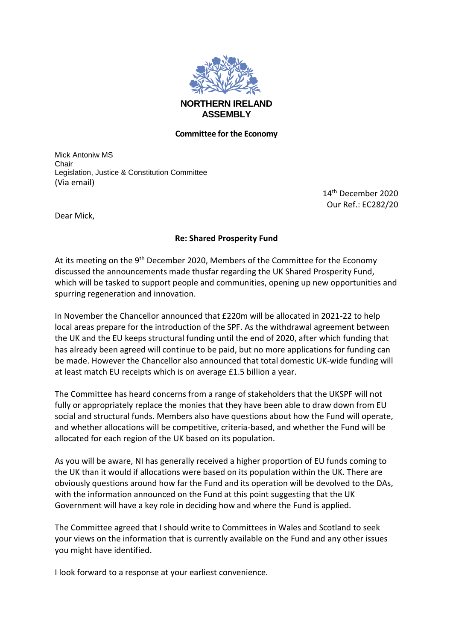

## **Committee for the Economy**

Mick Antoniw MS Chair Legislation, Justice & Constitution Committee (Via email)

> 14th December 2020 Our Ref.: EC282/20

Dear Mick,

## **Re: Shared Prosperity Fund**

At its meeting on the 9<sup>th</sup> December 2020, Members of the Committee for the Economy discussed the announcements made thusfar regarding the UK Shared Prosperity Fund, which will be tasked to support people and communities, opening up new opportunities and spurring regeneration and innovation.

In November the Chancellor announced that £220m will be allocated in 2021-22 to help local areas prepare for the introduction of the SPF. As the withdrawal agreement between the UK and the EU keeps structural funding until the end of 2020, after which funding that has already been agreed will continue to be paid, but no more applications for funding can be made. However the Chancellor also announced that total domestic UK-wide funding will at least match EU receipts which is on average £1.5 billion a year.

The Committee has heard concerns from a range of stakeholders that the UKSPF will not fully or appropriately replace the monies that they have been able to draw down from EU social and structural funds. Members also have questions about how the Fund will operate, and whether allocations will be competitive, criteria-based, and whether the Fund will be allocated for each region of the UK based on its population.

As you will be aware, NI has generally received a higher proportion of EU funds coming to the UK than it would if allocations were based on its population within the UK. There are obviously questions around how far the Fund and its operation will be devolved to the DAs, with the information announced on the Fund at this point suggesting that the UK Government will have a key role in deciding how and where the Fund is applied.

The Committee agreed that I should write to Committees in Wales and Scotland to seek your views on the information that is currently available on the Fund and any other issues you might have identified.

I look forward to a response at your earliest convenience.